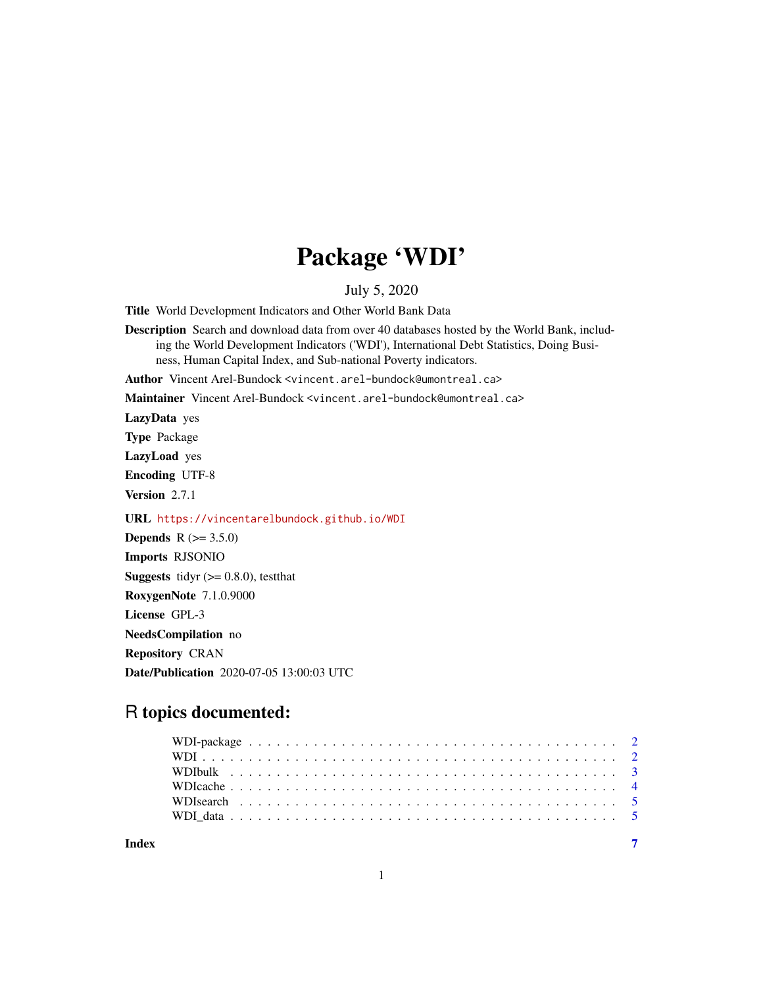## Package 'WDI'

#### July 5, 2020

Title World Development Indicators and Other World Bank Data

Description Search and download data from over 40 databases hosted by the World Bank, including the World Development Indicators ('WDI'), International Debt Statistics, Doing Business, Human Capital Index, and Sub-national Poverty indicators.

Author Vincent Arel-Bundock <vincent.arel-bundock@umontreal.ca>

Maintainer Vincent Arel-Bundock <vincent.arel-bundock@umontreal.ca>

LazyData yes

Type Package

LazyLoad yes

Encoding UTF-8

Version 2.7.1

URL <https://vincentarelbundock.github.io/WDI>

**Depends**  $R (= 3.5.0)$ Imports RJSONIO **Suggests** tidyr  $(>= 0.8.0)$ , testthat RoxygenNote 7.1.0.9000 License GPL-3 NeedsCompilation no Repository CRAN Date/Publication 2020-07-05 13:00:03 UTC

### R topics documented:

**Index** [7](#page-6-0) **7**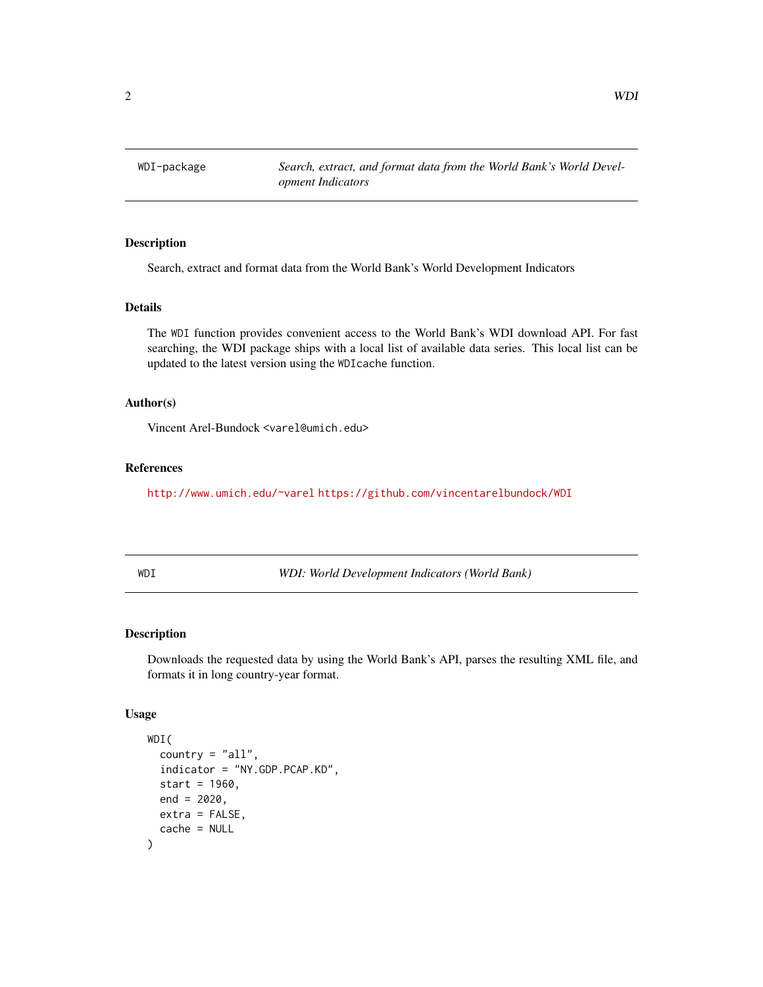<span id="page-1-0"></span>WDI-package *Search, extract, and format data from the World Bank's World Development Indicators*

#### Description

Search, extract and format data from the World Bank's World Development Indicators

#### Details

The WDI function provides convenient access to the World Bank's WDI download API. For fast searching, the WDI package ships with a local list of available data series. This local list can be updated to the latest version using the WDIcache function.

#### Author(s)

Vincent Arel-Bundock <varel@umich.edu>

#### References

<http://www.umich.edu/~varel> <https://github.com/vincentarelbundock/WDI>

| × | × | I<br>۰. | × |
|---|---|---------|---|

I *WDI: World Development Indicators (World Bank)* 

#### Description

Downloads the requested data by using the World Bank's API, parses the resulting XML file, and formats it in long country-year format.

#### Usage

```
WDI(
  country = "all",indicator = "NY.GDP.PCAP.KD",
  start = 1960,
  end = 2020,
  ext{ra} = FALSE,cache = NULL
)
```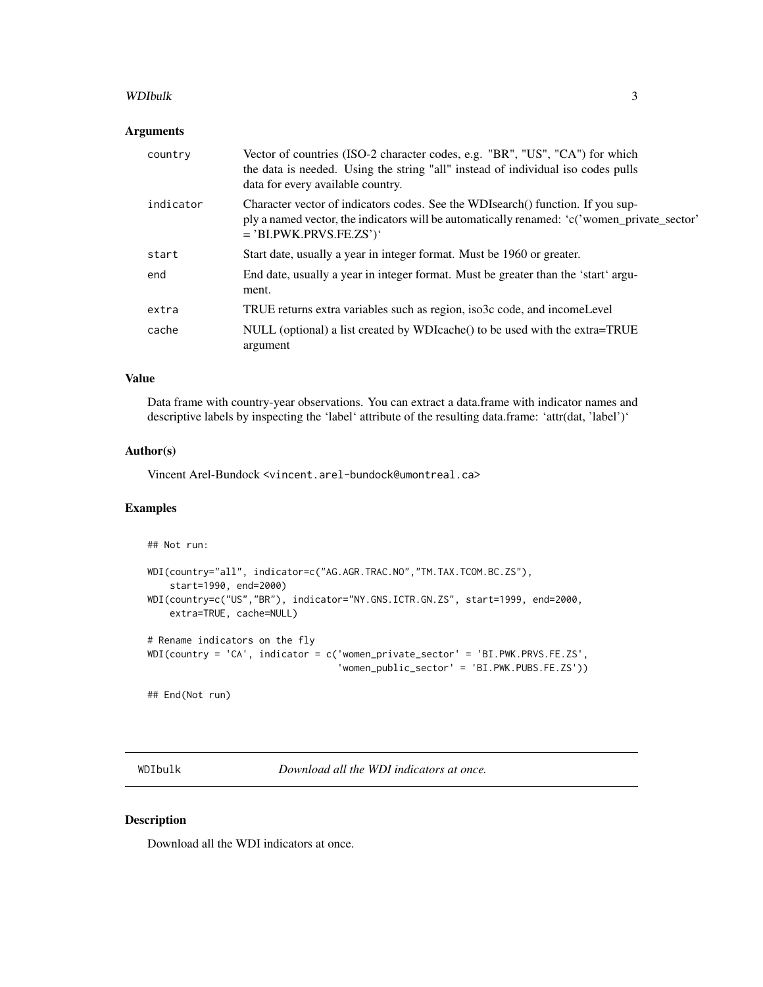#### <span id="page-2-0"></span>WDIbulk 3

#### Arguments

| country   | Vector of countries (ISO-2 character codes, e.g. "BR", "US", "CA") for which<br>the data is needed. Using the string "all" instead of individual iso codes pulls<br>data for every available country.       |
|-----------|-------------------------------------------------------------------------------------------------------------------------------------------------------------------------------------------------------------|
| indicator | Character vector of indicators codes. See the WDIsearch() function. If you sup-<br>ply a named vector, the indicators will be automatically renamed: 'c('women_private_sector'<br>$=$ 'BI.PWK.PRVS.FE.ZS')' |
| start     | Start date, usually a year in integer format. Must be 1960 or greater.                                                                                                                                      |
| end       | End date, usually a year in integer format. Must be greater than the 'start' argu-<br>ment.                                                                                                                 |
| extra     | TRUE returns extra variables such as region, iso3c code, and income Level                                                                                                                                   |
| cache     | NULL (optional) a list created by WDIcache() to be used with the extra=TRUE<br>argument                                                                                                                     |

#### Value

Data frame with country-year observations. You can extract a data.frame with indicator names and descriptive labels by inspecting the 'label' attribute of the resulting data.frame: 'attr(dat, 'label')'

#### Author(s)

Vincent Arel-Bundock <vincent.arel-bundock@umontreal.ca>

#### Examples

```
## Not run:
WDI(country="all", indicator=c("AG.AGR.TRAC.NO","TM.TAX.TCOM.BC.ZS"),
    start=1990, end=2000)
WDI(country=c("US","BR"), indicator="NY.GNS.ICTR.GN.ZS", start=1999, end=2000,
    extra=TRUE, cache=NULL)
# Rename indicators on the fly
WDI(country = 'CA', indicator = c('women_private_sector' = 'BI.PWK.PRVS.FE.ZS',
                                  'women_public_sector' = 'BI.PWK.PUBS.FE.ZS'))
## End(Not run)
```
WDIbulk *Download all the WDI indicators at once.*

#### Description

Download all the WDI indicators at once.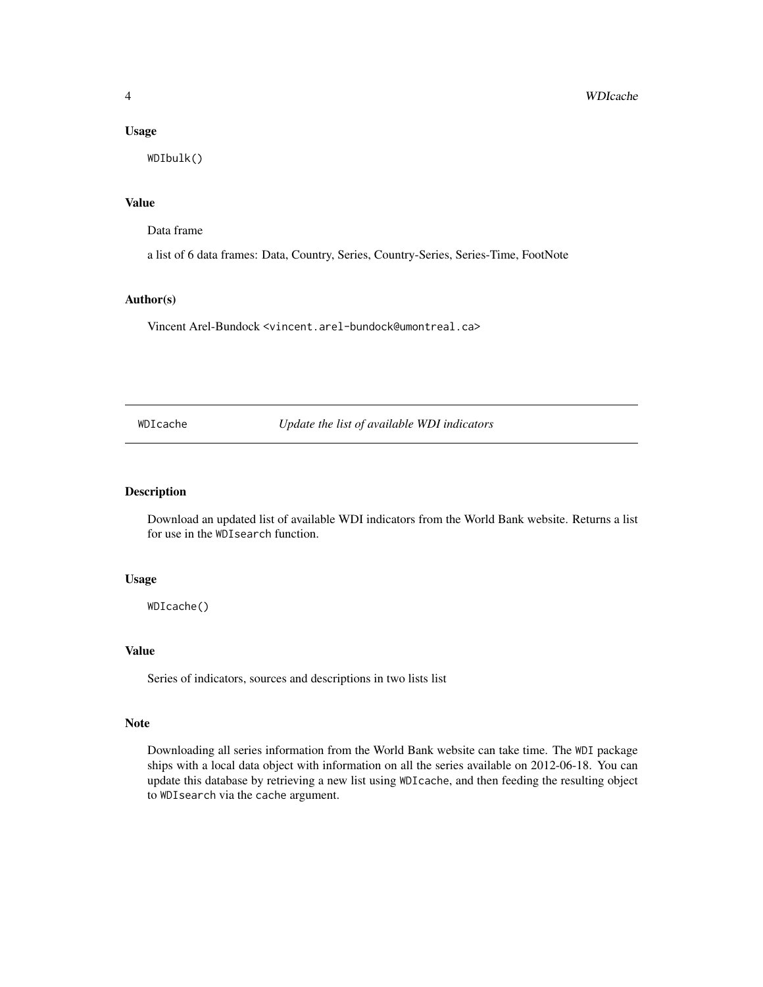#### <span id="page-3-0"></span>Usage

WDIbulk()

#### Value

Data frame

a list of 6 data frames: Data, Country, Series, Country-Series, Series-Time, FootNote

#### Author(s)

Vincent Arel-Bundock <vincent.arel-bundock@umontreal.ca>

WDIcache *Update the list of available WDI indicators*

#### Description

Download an updated list of available WDI indicators from the World Bank website. Returns a list for use in the WDIsearch function.

#### Usage

WDIcache()

#### Value

Series of indicators, sources and descriptions in two lists list

#### Note

Downloading all series information from the World Bank website can take time. The WDI package ships with a local data object with information on all the series available on 2012-06-18. You can update this database by retrieving a new list using WDIcache, and then feeding the resulting object to WDIsearch via the cache argument.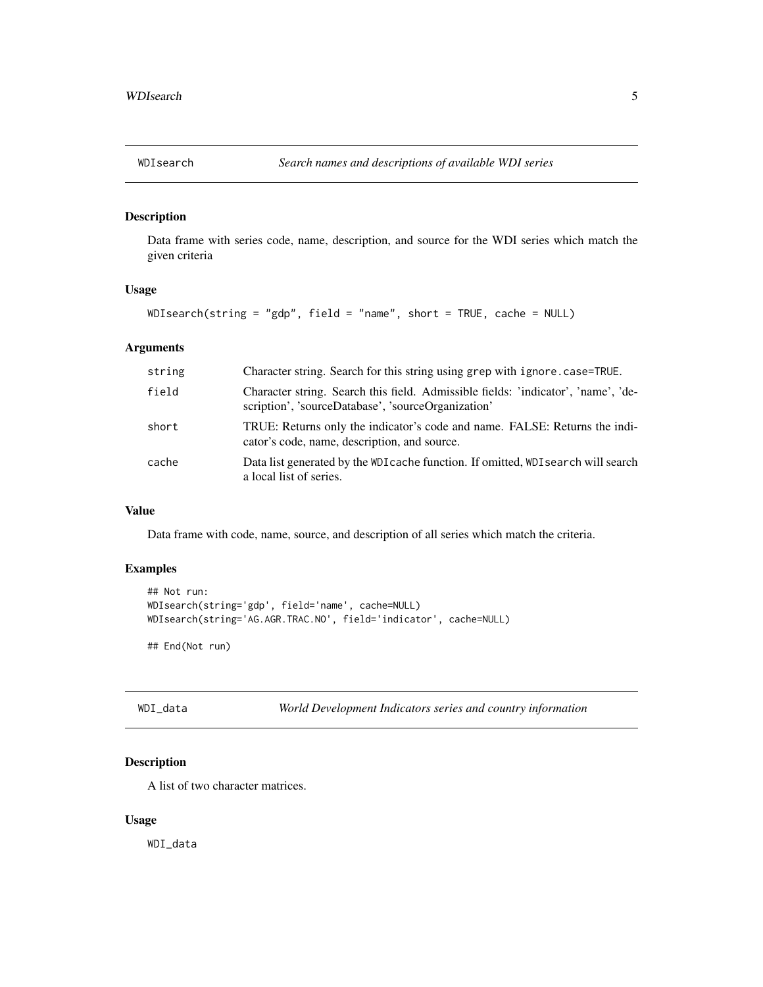<span id="page-4-0"></span>

#### Description

Data frame with series code, name, description, and source for the WDI series which match the given criteria

#### Usage

WDIsearch(string = "gdp", field = "name", short = TRUE, cache = NULL)

#### Arguments

| string | Character string. Search for this string using grep with ignore.case=TRUE.                                                              |
|--------|-----------------------------------------------------------------------------------------------------------------------------------------|
| field  | Character string. Search this field. Admissible fields: 'indicator', 'name', 'de-<br>scription', 'sourceDatabase', 'sourceOrganization' |
| short  | TRUE: Returns only the indicator's code and name. FALSE: Returns the indi-<br>cator's code, name, description, and source.              |
| cache  | Data list generated by the WDI cache function. If omitted, WDI search will search<br>a local list of series.                            |

#### Value

Data frame with code, name, source, and description of all series which match the criteria.

#### Examples

```
## Not run:
WDIsearch(string='gdp', field='name', cache=NULL)
WDIsearch(string='AG.AGR.TRAC.NO', field='indicator', cache=NULL)
## End(Not run)
```
WDI\_data *World Development Indicators series and country information*

#### Description

A list of two character matrices.

#### Usage

WDI\_data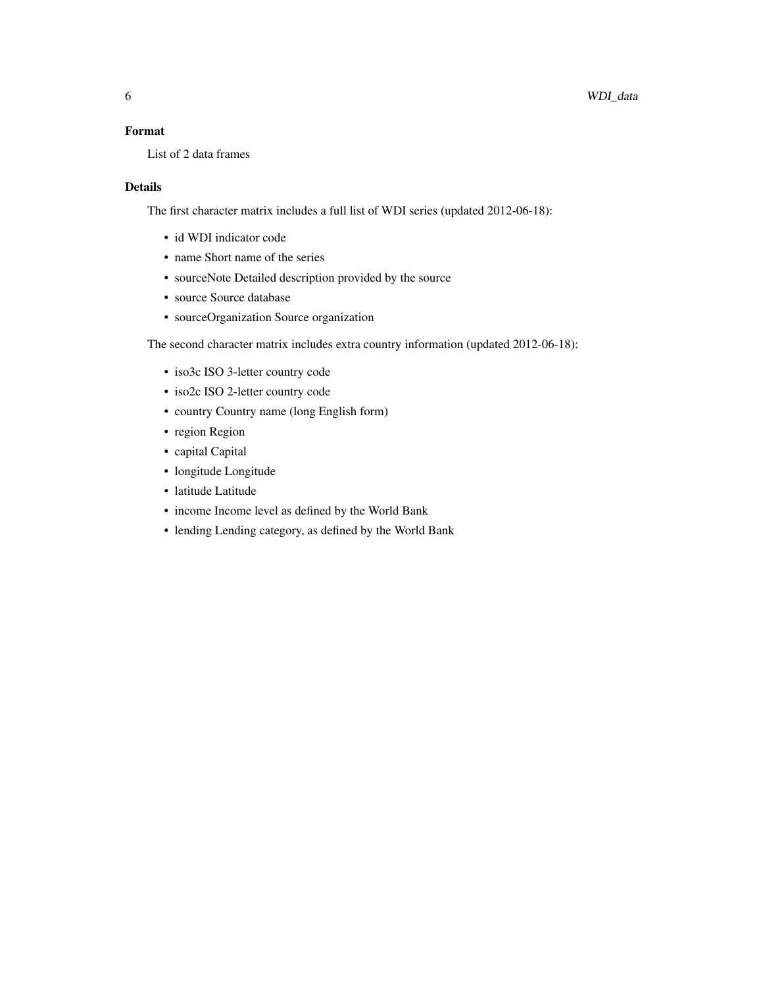#### Format

List of 2 data frames

#### Details

The first character matrix includes a full list of WDI series (updated 2012-06-18):

- id WDI indicator code
- name Short name of the series
- sourceNote Detailed description provided by the source
- source Source database
- sourceOrganization Source organization

The second character matrix includes extra country information (updated 2012-06-18):

- iso3c ISO 3-letter country code
- iso2c ISO 2-letter country code
- country Country name (long English form)
- region Region
- capital Capital
- longitude Longitude
- latitude Latitude
- income Income level as defined by the World Bank
- lending Lending category, as defined by the World Bank